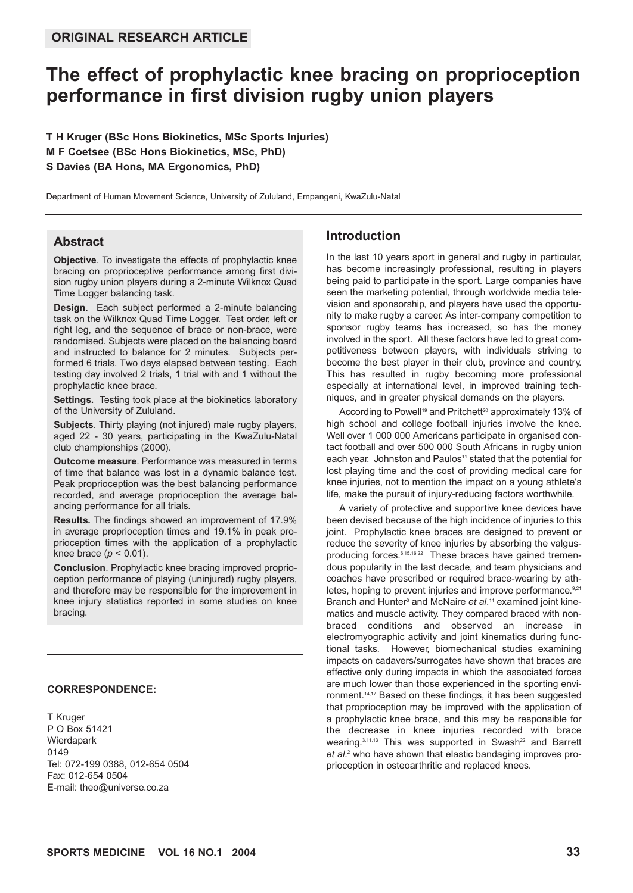# **The effect of prophylactic knee bracing on proprioception performance in first division rugby union players**

**T H Kruger (BSc Hons Biokinetics, MSc Sports Injuries) M F Coetsee (BSc Hons Biokinetics, MSc, PhD) S Davies (BA Hons, MA Ergonomics, PhD)**

Department of Human Movement Science, University of Zululand, Empangeni, KwaZulu-Natal

### **Abstract**

**Objective**. To investigate the effects of prophylactic knee bracing on proprioceptive performance among first division rugby union players during a 2-minute Wilknox Quad Time Logger balancing task.

**Design**. Each subject performed a 2-minute balancing task on the Wilknox Quad Time Logger. Test order, left or right leg, and the sequence of brace or non-brace, were randomised. Subjects were placed on the balancing board and instructed to balance for 2 minutes. Subjects performed 6 trials. Two days elapsed between testing. Each testing day involved 2 trials, 1 trial with and 1 without the prophylactic knee brace.

**Settings.** Testing took place at the biokinetics laboratory of the University of Zululand.

**Subjects**. Thirty playing (not injured) male rugby players, aged 22 - 30 years, participating in the KwaZulu-Natal club championships (2000).

**Outcome measure**. Performance was measured in terms of time that balance was lost in a dynamic balance test. Peak proprioception was the best balancing performance recorded, and average proprioception the average balancing performance for all trials.

**Results.** The findings showed an improvement of 17.9% in average proprioception times and 19.1% in peak proprioception times with the application of a prophylactic knee brace ( $p < 0.01$ ).

**Conclusion**. Prophylactic knee bracing improved proprioception performance of playing (uninjured) rugby players, and therefore may be responsible for the improvement in knee injury statistics reported in some studies on knee bracing.

#### **CORRESPONDENCE:**

T Kruger P O Box 51421 Wierdapark 0149 Tel: 072-199 0388, 012-654 0504 Fax: 012-654 0504 E-mail: theo@universe.co.za

# **Introduction**

In the last 10 years sport in general and rugby in particular, has become increasingly professional, resulting in players being paid to participate in the sport. Large companies have seen the marketing potential, through worldwide media television and sponsorship, and players have used the opportunity to make rugby a career. As inter-company competition to sponsor rugby teams has increased, so has the money involved in the sport. All these factors have led to great competitiveness between players, with individuals striving to become the best player in their club, province and country. This has resulted in rugby becoming more professional especially at international level, in improved training techniques, and in greater physical demands on the players.

According to Powell<sup>19</sup> and Pritchett<sup>20</sup> approximately 13% of high school and college football injuries involve the knee. Well over 1 000 000 Americans participate in organised contact football and over 500 000 South Africans in rugby union each year. Johnston and Paulos<sup>11</sup> stated that the potential for lost playing time and the cost of providing medical care for knee injuries, not to mention the impact on a young athlete's life, make the pursuit of injury-reducing factors worthwhile.

A variety of protective and supportive knee devices have been devised because of the high incidence of injuries to this joint. Prophylactic knee braces are designed to prevent or reduce the severity of knee injuries by absorbing the valgusproducing forces.<sup>6,15,16,22</sup> These braces have gained tremendous popularity in the last decade, and team physicians and coaches have prescribed or required brace-wearing by athletes, hoping to prevent injuries and improve performance.<sup>9,21</sup> Branch and Hunter<sup>3</sup> and McNaire et al.<sup>14</sup> examined joint kinematics and muscle activity. They compared braced with nonbraced conditions and observed an increase in electromyographic activity and joint kinematics during functional tasks. However, biomechanical studies examining impacts on cadavers/surrogates have shown that braces are effective only during impacts in which the associated forces are much lower than those experienced in the sporting environment.14,17 Based on these findings, it has been suggested that proprioception may be improved with the application of a prophylactic knee brace, and this may be responsible for the decrease in knee injuries recorded with brace wearing. $3,11,13$  This was supported in Swash<sup>22</sup> and Barrett *et al*. <sup>2</sup> who have shown that elastic bandaging improves proprioception in osteoarthritic and replaced knees.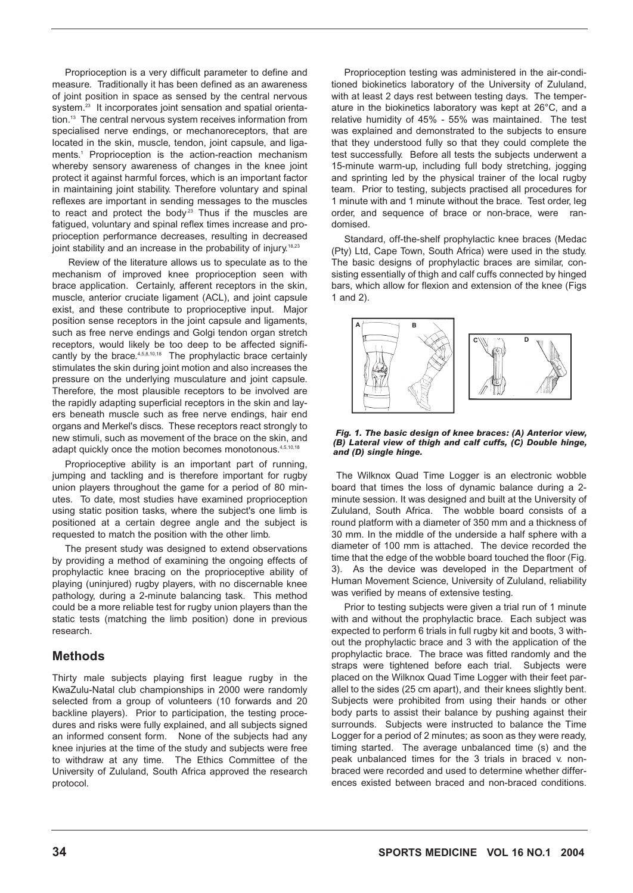Proprioception is a very difficult parameter to define and measure. Traditionally it has been defined as an awareness of joint position in space as sensed by the central nervous system.<sup>23</sup> It incorporates joint sensation and spatial orientation.13 The central nervous system receives information from specialised nerve endings, or mechanoreceptors, that are located in the skin, muscle, tendon, joint capsule, and ligaments.<sup>1</sup> Proprioception is the action-reaction mechanism whereby sensory awareness of changes in the knee joint protect it against harmful forces, which is an important factor in maintaining joint stability. Therefore voluntary and spinal reflexes are important in sending messages to the muscles to react and protect the body.<sup>23</sup> Thus if the muscles are fatigued, voluntary and spinal reflex times increase and proprioception performance decreases, resulting in decreased joint stability and an increase in the probability of injury.<sup>18,23</sup>

Review of the literature allows us to speculate as to the mechanism of improved knee proprioception seen with brace application. Certainly, afferent receptors in the skin, muscle, anterior cruciate ligament (ACL), and joint capsule exist, and these contribute to proprioceptive input. Major position sense receptors in the joint capsule and ligaments, such as free nerve endings and Golgi tendon organ stretch receptors, would likely be too deep to be affected significantly by the brace.<sup>4,5,8,10,18</sup> The prophylactic brace certainly stimulates the skin during joint motion and also increases the pressure on the underlying musculature and joint capsule. Therefore, the most plausible receptors to be involved are the rapidly adapting superficial receptors in the skin and layers beneath muscle such as free nerve endings, hair end organs and Merkel's discs. These receptors react strongly to new stimuli, such as movement of the brace on the skin, and adapt quickly once the motion becomes monotonous.<sup>4,5,10,18</sup>

Proprioceptive ability is an important part of running, jumping and tackling and is therefore important for rugby union players throughout the game for a period of 80 minutes. To date, most studies have examined proprioception using static position tasks, where the subject's one limb is positioned at a certain degree angle and the subject is requested to match the position with the other limb.

The present study was designed to extend observations by providing a method of examining the ongoing effects of prophylactic knee bracing on the proprioceptive ability of playing (uninjured) rugby players, with no discernable knee pathology, during a 2-minute balancing task. This method could be a more reliable test for rugby union players than the static tests (matching the limb position) done in previous research.

# **Methods**

Thirty male subjects playing first league rugby in the KwaZulu-Natal club championships in 2000 were randomly selected from a group of volunteers (10 forwards and 20 backline players). Prior to participation, the testing procedures and risks were fully explained, and all subjects signed an informed consent form. None of the subjects had any knee injuries at the time of the study and subjects were free to withdraw at any time. The Ethics Committee of the University of Zululand, South Africa approved the research protocol.

Proprioception testing was administered in the air-conditioned biokinetics laboratory of the University of Zululand, with at least 2 days rest between testing days. The temperature in the biokinetics laboratory was kept at 26°C, and a relative humidity of 45% - 55% was maintained. The test was explained and demonstrated to the subjects to ensure that they understood fully so that they could complete the test successfully. Before all tests the subjects underwent a 15-minute warm-up, including full body stretching, jogging and sprinting led by the physical trainer of the local rugby team. Prior to testing, subjects practised all procedures for 1 minute with and 1 minute without the brace. Test order, leg order, and sequence of brace or non-brace, were randomised.

Standard, off-the-shelf prophylactic knee braces (Medac (Pty) Ltd, Cape Town, South Africa) were used in the study. The basic designs of prophylactic braces are similar, consisting essentially of thigh and calf cuffs connected by hinged bars, which allow for flexion and extension of the knee (Figs 1 and 2).



*Fig. 1. The basic design of knee braces: (A) Anterior view, (B) Lateral view of thigh and calf cuffs, (C) Double hinge, and (D) single hinge.* 

The Wilknox Quad Time Logger is an electronic wobble board that times the loss of dynamic balance during a 2 minute session. It was designed and built at the University of Zululand, South Africa. The wobble board consists of a round platform with a diameter of 350 mm and a thickness of 30 mm. In the middle of the underside a half sphere with a diameter of 100 mm is attached. The device recorded the time that the edge of the wobble board touched the floor (Fig. 3). As the device was developed in the Department of Human Movement Science, University of Zululand, reliability was verified by means of extensive testing.

Prior to testing subjects were given a trial run of 1 minute with and without the prophylactic brace. Each subject was expected to perform 6 trials in full rugby kit and boots, 3 without the prophylactic brace and 3 with the application of the prophylactic brace. The brace was fitted randomly and the straps were tightened before each trial. Subjects were placed on the Wilknox Quad Time Logger with their feet parallel to the sides (25 cm apart), and their knees slightly bent. Subjects were prohibited from using their hands or other body parts to assist their balance by pushing against their surrounds. Subjects were instructed to balance the Time Logger for a period of 2 minutes; as soon as they were ready, timing started. The average unbalanced time (s) and the peak unbalanced times for the 3 trials in braced v. nonbraced were recorded and used to determine whether differences existed between braced and non-braced conditions.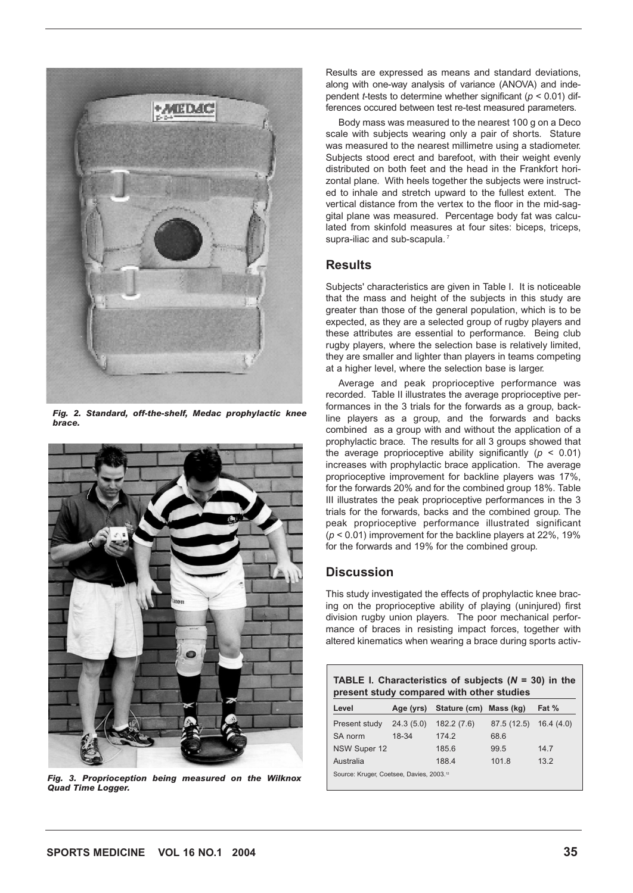

*Fig. 2. Standard, off-the-shelf, Medac prophylactic knee brace.*



*Fig. 3. Proprioception being measured on the Wilknox Quad Time Logger.* 

Results are expressed as means and standard deviations, along with one-way analysis of variance (ANOVA) and independent *t*-tests to determine whether significant (*p* < 0.01) differences occured between test re-test measured parameters.

Body mass was measured to the nearest 100 g on a Deco scale with subjects wearing only a pair of shorts. Stature was measured to the nearest millimetre using a stadiometer. Subjects stood erect and barefoot, with their weight evenly distributed on both feet and the head in the Frankfort horizontal plane. With heels together the subjects were instructed to inhale and stretch upward to the fullest extent. The vertical distance from the vertex to the floor in the mid-saggital plane was measured. Percentage body fat was calculated from skinfold measures at four sites: biceps, triceps, supra-iliac and sub-scapula.<sup>7</sup>

#### **Results**

Subjects' characteristics are given in Table I. It is noticeable that the mass and height of the subjects in this study are greater than those of the general population, which is to be expected, as they are a selected group of rugby players and these attributes are essential to performance. Being club rugby players, where the selection base is relatively limited, they are smaller and lighter than players in teams competing at a higher level, where the selection base is larger.

Average and peak proprioceptive performance was recorded. Table II illustrates the average proprioceptive performances in the 3 trials for the forwards as a group, backline players as a group, and the forwards and backs combined as a group with and without the application of a prophylactic brace. The results for all 3 groups showed that the average proprioceptive ability significantly  $(p < 0.01)$ increases with prophylactic brace application. The average proprioceptive improvement for backline players was 17%, for the forwards 20% and for the combined group 18%. Table III illustrates the peak proprioceptive performances in the 3 trials for the forwards, backs and the combined group. The peak proprioceptive performance illustrated significant (*p* < 0.01) improvement for the backline players at 22%, 19% for the forwards and 19% for the combined group.

#### **Discussion**

This study investigated the effects of prophylactic knee bracing on the proprioceptive ability of playing (uninjured) first division rugby union players. The poor mechanical performance of braces in resisting impact forces, together with altered kinematics when wearing a brace during sports activ-

| <b>TABLE I. Characteristics of subjects (<math>N = 30</math>) in the</b><br>present study compared with other studies |           |                                  |             |           |  |  |  |
|-----------------------------------------------------------------------------------------------------------------------|-----------|----------------------------------|-------------|-----------|--|--|--|
| Level                                                                                                                 |           | Age (yrs) Stature (cm) Mass (kg) |             | Fat %     |  |  |  |
| Present study                                                                                                         | 24.3(5.0) | 182.2(7.6)                       | 87.5 (12.5) | 16.4(4.0) |  |  |  |
| SA norm                                                                                                               | 18-34     | 174.2                            | 68.6        |           |  |  |  |
| NSW Super 12                                                                                                          |           | 185.6                            | 99.5        | 147       |  |  |  |
| Australia                                                                                                             |           | 188.4                            | 101.8       | 13.2      |  |  |  |
| Source: Kruger, Coetsee, Davies, 2003. <sup>12</sup>                                                                  |           |                                  |             |           |  |  |  |